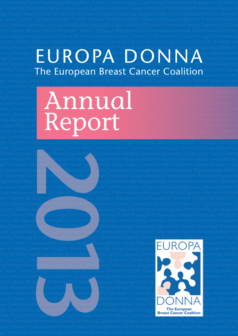## dova Monaco Nederland Norge Österreich Oʻzbekiston Pols<u>ka P</u>ortugal Romania Rossijshaja Federacija Sakartvelc iya Ceská Republ<mark>i ta Danma</mark>rk <mark>Da</mark>uts hiland fesa Ernaña Francen le his hivanna heland kang trael Italia Kazakhst rge Österreich Oʻz bekist<mark>on Polska Pol</mark>tuga Ramara Tossijshaja Pederacija Sakartvel<mark>o Sh</mark>lip<mark>ëri T</mark>ovenija Slovensko uova Monaco Nederland Norge Osternar i Ospekistori Forska Fortuga Norga Monaco (Systematrical) a Sakartveid<br>Irge Österreich Oʻz bekistori voli Rango Rango Rango Sijskaja Jeonaco Islam Sikari veli Salipan Tael Italia Kazakh Polska Portugal h**inha Ferirongan**a Rraach (Pan*r*ar S*o*nalitionsse Suomi Sverig Polska Portugal The European<sup>a</sup> Breast Cancer<sup>s</sup> Coalitionsse Suomi Sverig

d Israel Italia Kaza<mark>khetan Kirgiz Poemublikası Kunros Latvija Leituva Luxembourg Makedonija Magyarország Malta I</mark>

## ëri Slovenija Sloven në Santa Kosovës në kapit e shkritë në Shqipë e Vikraïna United Kingdom Belarus Belgique B rgiz Respublikası **yanı yazı yazı yazı de alta Magyarország Malta Moldova Monaco Nederlar** ja Suisse Suomi S**akkeen kultuuri kultuuri kuningas ja kuu**nna 1990. Kuulub kuulub kuulub kuulub kuulub kuulub ku ëri Slovenija Slove<br>Igiz Respublikası<br>İa Suisse Suomi Skotlar (State) – **Altan Markov** Delarus Belgique Bălgariya Ceská Republika D<br>tvija Leituva Luxe<br>ton Turkiya Ukrain (Vizbek Portugal Romania Rossijshaja Federacija Sakartvelo Shqipëri Slovenija Slovensko Srbija Suisse Suomi Sverige Tocikiston Turkiye Ukraïna United Kingdom Belarus Belgique Baˇlgariya Ceská Republika Danmark Deutschland Eesti España France phija Magyarorszá $\begin{array}{|c|c|c|}\hline \quad \bullet\end{array}$   $\begin{array}{|c|c|c|}\hline \quad \bullet\end{array}$   $\begin{array}{|c|c|c|}\hline \quad \bullet\end{array}$  The Osterreich O'zbekiston Polska Portugal Romania Ro ngdom Belarus Be**nder (State) (State) (State) (State**) (State) (State) (State) (State) (State) (State) (State) (Sta ton Turkiye Ukra<mark>ir Magyarorszá Magyarorszá Republika Danmark Deutschland Eesti Esp<br>nija Magyarorszá Magyarorszá Magyarorszá Magyarország Magyarország Magyarorszá Magyarorszá Magyarorszá Magyar<br>dova Monaco Nejlet Magyarors</mark> iya Ceská Republ**e a na navne kontrollo na navne konkurske kraja na na na navne konkurske kraja između sa konkur**

nark Deutschland <u>Ee</u>sti España France Hellas Hrvatska Ireland Island Israel Italia Kazakhstan Kirgiz Respublikası Kyp Polska Portugal Romanja Rossijshaja Federacija Sakartvelo Shqipëri Slovenija Slovensko Srbija Suisse Suomi Sverig rance Hellas Hrva<mark>tska Irela</mark>nd Island Israe**Ntah**a Kazakhstan Kirgiz Respublikası Kypros Latvija Leituva Luxembourg ija Federacija Sakartvelo Shojpëri Slovenija Slovensko Srbija Suisse Suomi Sverige Tocikiston Turkiye Ukraïna Unite d Israel Italia Kazakhstan Kirgiz Respublikasi Kypros Latvija Leituva Luxembourg Makedonija Magyarország Malta I ëri Slovenija Slove<mark>nsko Srbija Suisse Suomi/Sver</mark>ige Tocikiston Turkiye Ukraïna Ünited Kingdom Belarus Belgique B rgiz Respublikası Kypros Latvija Leituva Luxembourg Makedonija Magyarország Malta Moldova Monaco Nederlar ja Suisse Suomi Sverige Tocikiston Turkiye Ukraïna United Kingdom. Belarus Belgique Bălgariya Ceská Republika D tvija Leituva Luxembourg Makedonija Magyarország Malta Moldova Monaco Nederland Norge Österreich Oʻzbek ton Turkiye Ukraïna United Kingdom. Belarus Belgique Bălgariya Ceská Republika Danmark Deutschland Eesti Esp onija Magyarország Malta Moldova Monaco Nederland Norge Österreich Oʻzbekiston Polska Portugal Romania Ro ngdom Belarus Be<mark>lgique Bălgariya Ceská Repub</mark>lika Danmark Deutschland Eesti España France Hellas Hrvatska Irel dova Monaco Ne**derland** Norge Österreich Oʻzbekiston Polska Portugal Romania Rossijshaja Federacija Sakartvelc iya Ceská Republ<mark>ika D</mark>anmark Deutschlang Eesti España France Hellas Hrvatska Ireland Island Israel Italia Kazakhst rge Österreich Oʻzbekiston <u>Polska Portug</u>al Romania Rossijshaja Federacija Sakartvelo Shqipëri Slovenija Slovensko

nark Deutschland Essti España France Hellas Árvatska Ireland Island Israel Italia Kazakhstan Kirgiz Respublikası Kyp Polska Portugal Romania Rossijshaja Federacija Sakartvelo Shqipëri Sloven<u>ija Slovensko Srbija Šui</u>sse Suomi Sverig rance Hellas Hrvatska Ireland Island Israel Italia Kazakhstan Kirgiz Respublik $\Box$  ID  $\bigcap$  D  $\bigcap$  va Luxembourg ija Federacija Sakartvelo Shqipëri Slovenij<mark>a Slo</mark>vensko Srbija Suisse Suomi S $\Box\Box\Box\Box$ id Israel Italia Kazakhstan Kirgiz Respublikasi Kypros Latvija Leituva Luxemb**ikan kanalis kanal**yarország Malta I ëri Slovenija Slovensko Srbija Suisse Suomi Sver<mark>ige Tocikiston Turkiye Ukrai North School Sch</mark>larus Belgique B. rgiz Respublikası Kypros Latvija Leituva Luxembourg Makedonija Magyard Magyard Magyard Maria Monaco Nederlar ja Suisse Suomi Sverige Tocikiston Turkiye Ukraina United Kingdom Belaru Andrea Stadt Schleská Republika D tvija Leituva Luxembourg Makedonija Magyarország Malta Moldova Montando Alexander († 1938) ton Turkiye Ukraïr<mark>a U</mark>nited Kingdom Belatus Belgique Bălgariya Ceská Re**na Conception de Schland Eesti Esp** pnija Magyarorszá<mark>g M</mark>alta Moldova Monaco Nederland Norge Österreich (**1989 – 1989**) – 1998 – Jugal Romania Ro ngdom Belarus Belgique Bălgar<mark>iya C</mark>eská Republika Danmark Deutschland **Martin Architectus Hellas Hrvatska** Irel dova Monaco Ne<mark>derland Norge Östereich Oʻzb</mark>ekiston Polska Portugal Ro $\bigcap\bigcap\bigcap\bigcap\bigcap\bigcap\bigcap\bigcap$ eracija Sakartvelc iya Ceská Republika Danmark De Nschland Eesti España France Hellas Hrv **De Vella VI Nava**lel Italia Kazakhst rge Österreich Oʻzbekiston Polska Portugal Romania Rossijshaja Federacija Sakart Gangy Galitian Dvenija Slovensko **amanja Rossijshaja Federacija**<br>**2013**<br>**2013**<br>**2013**<br>**2013**<br>**2013**<br>**2013**<br>**2013**<br>**2013**<br>**2013**<br>**2013**<br>**2013**<br>**2013**<br>**2013**<br>**2013**<br>**2013**<br>**2013**<br>**2013**<br>**2013**<br>**2013**<br>**2013**<br>**2013**<br>**2013**<br>**2013**<br>**2013**<br>**2013**<br>**2013**<br>**2013**<br>

nark Deutschland Eesti España France Hellas Hrvatska Ireland Island Israel Remer Registration Respublikasi Kyp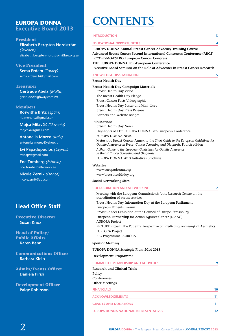## **EUROPA DONNA Executive Board 2013**

| <b>INTRODUCTION</b>                                                                                                                                                                                                                                                                                                                                                                                                                                                                                    | 3  |
|--------------------------------------------------------------------------------------------------------------------------------------------------------------------------------------------------------------------------------------------------------------------------------------------------------------------------------------------------------------------------------------------------------------------------------------------------------------------------------------------------------|----|
| <b>EDUCATIONAL OPPORTUNITIES</b>                                                                                                                                                                                                                                                                                                                                                                                                                                                                       | 4  |
| <b>EUROPA DONNA Annual Breast Cancer Advocacy Training Course</b><br><b>Advanced Breast Cancer Second International Consensus Conference (ABC2)</b><br><b>ECCO-ESMO-ESTRO European Cancer Congress</b><br>11th EUROPA DONNA Pan-European Conference<br><b>Executive Board Seminar on the Role of Advocates in Breast Cancer Research</b>                                                                                                                                                               |    |
| <b>KNOWLEDGE DISSEMINATION</b>                                                                                                                                                                                                                                                                                                                                                                                                                                                                         | 5  |
| <b>Breast Health Day</b>                                                                                                                                                                                                                                                                                                                                                                                                                                                                               |    |
| <b>Breast Health Day Campaign Materials</b><br>Breast Health Day Video<br>The Breast Health Day Pledge<br>Breast Cancer Facts Videographic<br>Breast Health Day Poster and Mini-diary<br>Breast Health Day Press Release<br><b>Banners and Website Badges</b>                                                                                                                                                                                                                                          |    |
| <b>Publications</b>                                                                                                                                                                                                                                                                                                                                                                                                                                                                                    |    |
| <b>Breast Health Day News</b><br>Highlights of 11th EUROPA DONNA Pan-European Conference<br><b>EUROPA DONNA News</b><br>Metastatic Breast Cancer Annex to the Short Guide to the European Guidelines for<br>Quality Assurance in Breast Cancer Screening and Diagnosis, Fourth edition<br>A Short Guide to the European Guidelines for Quality Assurance<br>in Breast Cancer Screening and Diagnosis<br>EUROPA DONNA 2013 Initiatives Brochure                                                         |    |
| <b>Websites</b><br>www.europadonna.org<br>www.breasthealthday.org                                                                                                                                                                                                                                                                                                                                                                                                                                      |    |
| <b>Social Networking Sites</b>                                                                                                                                                                                                                                                                                                                                                                                                                                                                         |    |
| <b>COLLABORATION AND NETWORKING</b>                                                                                                                                                                                                                                                                                                                                                                                                                                                                    | 7  |
| Meeting with the European Commission's Joint Research Centre on the<br>accreditation of breast services<br>Breast Health Day Information Day at the European Parliament<br>European Patients' Forum<br>Breast Cancer Exhibition at the Council of Europe, Strasbourg<br>European Partnership for Action Against Cancer (EPAAC)<br><b>AURORA Project</b><br>PICTURE Project: The Patient's Perspective on Predicting Post-surgical Aesthetics<br><b>EURECCA Project</b><br><b>BIG Programme: AURORA</b> |    |
| <b>Sponsor Meeting</b>                                                                                                                                                                                                                                                                                                                                                                                                                                                                                 |    |
| EUROPA DONNA Strategic Plan: 2014-2018                                                                                                                                                                                                                                                                                                                                                                                                                                                                 |    |
| <b>Development Programme</b>                                                                                                                                                                                                                                                                                                                                                                                                                                                                           |    |
| <b>COMMITTEE MEMBERSHIP AND ACTIVITIES</b>                                                                                                                                                                                                                                                                                                                                                                                                                                                             | g  |
| <b>Research and Clinical Trials</b><br>Policy<br>Conferences<br><b>Other Meetings</b>                                                                                                                                                                                                                                                                                                                                                                                                                  |    |
| <b>FINANCIALS</b>                                                                                                                                                                                                                                                                                                                                                                                                                                                                                      | 10 |
| <b>ACKNOWLEDGEMENTS</b>                                                                                                                                                                                                                                                                                                                                                                                                                                                                                | 11 |
| <b>GRANTS AND DONATIONS</b>                                                                                                                                                                                                                                                                                                                                                                                                                                                                            | 11 |
| EUROPA DONNA NATIONAL REPRESENTATIVES                                                                                                                                                                                                                                                                                                                                                                                                                                                                  | 12 |
|                                                                                                                                                                                                                                                                                                                                                                                                                                                                                                        |    |

**CONTENTS**

### **President**

**Elizabeth Bergsten Nordström**  *(Sweden)*  elizabeth.bergsten-nordstrom@bro.org.se

#### **Vice-President Sema Erdem** *(Turkey)* sema.erdem.tr@gmail.com

## **Treasurer**

**Gertrude Abela** *(Malta)* gertrude@highway.com.mt

#### **Members**

**Roswitha Britz** *(Spain)* r.b.menorca@gmail.com

**Mojca Milavčič** *(Slovenia)* mojchka@gmail.com

**Antonella Moreo** *(Italy)* antonella\_moreo@yahoo.it

**Evi Papadopoulos** *(Cyprus)* evipaps@gmail.com

**Ene Tomberg** *(Estonia)* Ene.Tomberg@tallinnlv.ee

**Nicole Zernik** *(France)* nicolezernik@aol.com

## **Head Office Staff**

**Executive Director Susan Knox**

**Head of Policy/ Public Affairs Karen Benn**

**Communications Officer Barbara Klein**

**Admin/Events Officer Daniela Pirisi**

**Development Officer Paige Robinson**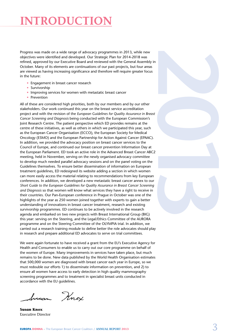## **INTRODUCTIO**

Progress was made on a wide range of advocacy programmes in 2013, while new objectives were identified and developed. Our Strategic Plan for 2014-2018 was refined, approved by our Executive Board and reviewed with the General Assembly in October. Many of its elements are continuations of our past projects, but four areas are viewed as having increasing significance and therefore will require greater focus in the future:

- Engagement in breast cancer research
- Survivorship
- Improving services for women with metastatic breast cancer
- Prevention

All of these are considered high priorities, both by our members and by our other stakeholders. Our work continued this year on the breast service accreditation project and with the revision of the *European Guidelines for Quality Assurance in Breast Cancer Screening and Diagnosis* being conducted with the European Commission's Joint Research Centre. The patient perspective which ED provides remains at the centre of these initiatives, as well as others in which we participated this year, such as the European Cancer Organisation (ECCO), the European Society for Medical Oncology (ESMO) and the European Partnership for Action Against Cancer (EPAAC). In addition, we provided the advocacy position on breast cancer services to the Council of Europe, and continued our breast cancer prevention Information Day at the European Parliament. ED took an active role in the Advanced Breast Cancer ABC2 meeting, held in November, serving on the newly organised advocacy committee to develop much needed parallel advocacy sessions and on the panel voting on the Guidelines themselves. To ensure better dissemination of information on European treatment guidelines, ED redesigned its website adding a section in which women can more easily access the material relating to recommendations from key European conferences. In addition, we developed a new metastatic breast cancer annex to our *Short Guide to the European Guidelines for Quality Assurance in Breast Cancer Screening and Diagnosis* so that women will know what services they have a right to receive in their countries. Our Pan-European conference in Prague in October was one of the highlights of the year as 250 women joined together with experts to gain a better understanding of innovations in breast cancer treatment, research and existing survivorship programmes. ED continues to be actively involved in the research agenda and embarked on two new projects with Breast International Group (BIG) this year: serving on the Steering, and the Legal/Ethics Committee of the AURORA programme and on the Steering Committee of the OLYMPIA trial. In addition, we carried out a research training module to define better the role advocates should play in research and prepare additional ED advocates to serve on trial committees.

We were again fortunate to have received a grant from the EU's Executive Agency for Health and Consumers to enable us to carry out our core programme on behalf of the women of Europe. Many improvements in services have taken place, but much remains to be done. New data published by the World Health Organisation estimates that 500,000 women are diagnosed with breast cancer each year in Europe, so we must redouble our efforts 1) to disseminate information on prevention, and 2) to ensure all women have access to early detection in high quality mammography screening programmes and to treatment in specialist breast units conducted in accordance with the EU guidelines.

Iusan Knox

**Susan Knox** Executive Director

2013<br>2013<br>2013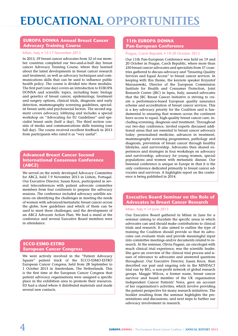# **Educational Opportunities**

### **EUROPA DONNA Annual Breast Cancer Advocacy Training Course**

#### Milan, Italy • 15-17 November 2013

In 2013, 59 breast cancer advocates from 32 of our member countries completed our two-and-a-half day breast cancer Advocacy Training Course, where they learned about the latest developments in breast cancer research and treatment, as well as advocacy techniques and communications skills that can be used to influence public health policy. The course is divided into three modules. The first part (one day) covers an introduction to EUROPA DONNA and scientific topics, including basic biology and genetics of breast cancer, epidemiology, treatment and surgery options, clinical trials, diagnosis and early detection, mammography screening guidelines, specialist breast units and psychosocial factors. The second segment covers advocacy, lobbying and includes a special workshop on "Advocating for EU Guidelines" and specialist breast units (half a day). The third section consists of media and communications skills training (one full day). The course received excellent feedback in 2013 from participants who rated it as "very useful".

### **Advanced Breast Cancer Second International Consensus Conference (ABC2)**

We served on the newly developed Advocacy Committee for ABC2, held 7-9 November 2013 in Lisbon, Portugal. Our Executive Director, Susan Knox, participated in several teleconferences with patient advocate committee members from four continents to prepare the advocacy sessions. The conference included advocacy satellite sessions on identifying the challenges in meeting the needs of women with advanced/metastatic breast cancer across the globe; how guidelines and which of them can be used to meet these challenges; and the development of an ABC2 Advocate Action Plan. We had a stand at the conference and several Executive Board members were in attendance.

### **ECCO-ESMO-ESTRO European Cancer Congress**

We were actively involved in the "Patient Advocacy Square" patient track of the ECCO-ESMO-ESTRO European Cancer Congress, held from 28 September to 1 October 2013 in Amsterdam, The Netherlands. This is the first time at the European Cancer Congress that patient advocacy organisations were assigned a specific place in the exhibition area to promote their resources. ED had a stand where it distributed materials and made several new contacts.

## **11th EUROPA DONNA Pan-European Conference**

#### Prague, Czech Republic • 19-20 October 2013

Our 11th Pan-European Conference was held on 19 and 20 October in Prague, Czech Republic, where more than 250 breast cancer advocates and specialists from 37 countries gathered to discuss advocacy and "Ensuring Quality Services and Equal Access" to breast cancer services. In keeping with this theme, the keynote speaker Krzysztof Maruszewski, Director of the European Commission Institute for Health and Consumer Protection, Joint Research Centre (JRC) in Ispra, Italy, assured advocates that the JRC Breast Cancer Initiative is striving to create a performance-based European quality assurance scheme and accreditation of breast cancer services. This is a key advocacy priority for the Coalition and is fundamental to ensuring that women across the continent have access to equal, high-quality breast cancer care, including screening, diagnosis and treatment. Throughout our two-day conference, invited experts discussed additional areas that are essential to breast cancer advocacy today: personalised medicine, advances in treatment, mammography screening programmes, pathology and diagnosis, prevention of breast cancer through healthy lifestyles, and survivorship. Advocates then shared experiences and strategies in four workshops on advocacy and survivorship, advocacy for young women, special populations and women with metastatic disease. Our biennial conference is unique in Europe in that it is the only conference dedicated primarily to breast cancer advocates and survivors. A highlights report on the conference is being published in 2014.

## **Executive Board Seminar on the Role of Advocates in Breast Cancer Research**

#### Milan, Italy • 14 June 2013

Our Executive Board gathered in Milan in June for a seminar aiming to elucidate the specific areas in which advocates can and should make contributions to clinical trials and research. It also aimed to outline the type of training the Coalition should provide so that its advocates can evaluate trials and provide meaningful input into committee meetings and/or documents related to research. At the seminar, Olivia Pagani, an oncologist with much clinical trial experience, was the scientific leader. She gave an overview of the clinical trial process and issues of relevance to advocates and answered questions throughout. Our Executive Director, Susan Knox, then described our past and ongoing role in the MINDACT trial run by BIG, a non-profit network of global research groups. Maggie Wilcox, a former nurse, breast cancer survivor and board member of the UK organisation Independent Cancer Patients' Voice, gave an account of her organisation's activities, which involve providing the patient perspective for many research initiatives. The booklet resulting from the seminar highlights the presentations and discussions, and next steps to further our advocacy involvement in research.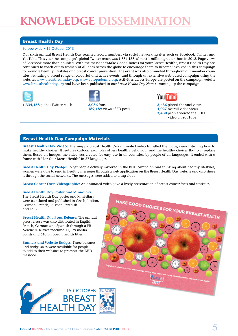# **KNOWLEDGE DISSEMII**

## **Breast Health Day**

#### Europe-wide • 15 October 2013

Our sixth annual Breast Health Day reached record numbers via social networking sites such as Facebook, Twitter and YouTube. This year the campaign's global Twitter reach was 1,334,158, almost 1 million greater than in 2012. Page views of Facebook more than doubled. With the message "Make Good Choices for your Breast Health", Breast Health Day has continued to reach out to women of all ages across the globe to encourage them to become involved in this campaign to promote healthy lifestyles and breast cancer prevention. The event was also promoted throughout our member countries, featuring a broad range of colourful and active events, and through an extensive web-based campaign using the websites www.breasthealthday.org, www.europadonna.org. Activities across Europe are posted on the campaign website www.breasthealthday.org and have been published in our *Breast Health Day News* summing up the campaign.







**1,334,158** global Twitter reach **2,036** fans **5,636** global channel views **189,189** views of ED posts **4,027** overall video views  **3,430** people viewed the BHD video on YouTube

## **Breast Health Day Campaign Materials**

**Breast Health Day Video:** The snappy Breast Health Day animated video travelled the globe, demonstrating how to make healthy choices. It features cartoon examples of less healthy behaviour and the healthy choices that can replace them. Based on images, the video was created for easy use in all countries, by people of all languages. It ended with a frame with "For Your Breast Health" in 27 languages.

**Breast Health Day Pledge:** To get people actively involved in the BHD campaign and thinking about healthy lifestyles, women were able to send in healthy messages through a web application on the Breast Health Day website and also share it through the social networks. The messages were added to a tag cloud.

**Breast Cancer Facts Videographic:** An animated video gave a lively presentation of breast cancer facts and statistics.

#### **Breast Health Day Poster and Mini-diary:**

The Breast Health Day poster and Mini-diary were translated and published in Czech, Italian, German, French, Russian, Swedish and Tajik.

**Breast Health Day Press Release:** The annual press release was also distributed in English, French, German and Spanish through a PR Newswire service reaching 11,129 media points and 640 European health titles.

**Banners and Website Badges:** Three banners and badge sizes were available for people to add to their websites to promote the BHD message.



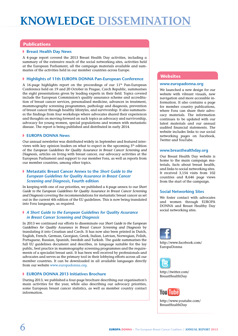# **KNOWLEDGE DISSEMINATION**

#### **Publications**

#### ◗ **Breast Health Day News**

A 4-page report covered the 2013 Breast Health Day activities, including a summary of the extensive reach of the social networking sites, activities held at the European Parliament, all the campaign materials available and summaries of the activities held in our member countries across Europe.

#### ◗ **Highlights of 11th EUROPA DONNA Pan-European Conference**

A 16-page highlights report on the proceedings of our 11<sup>th</sup> Pan-European Conference held on 19 and 20 October in Prague, Czech Republic, summarises the eight presentations given by leading experts in their field. Topics covered include the European Commission's quality assurance scheme and accreditation of breast cancer services, personalised medicine, advances in treatment, mammography screening programmes, pathology and diagnosis, prevention of breast cancer through healthy lifestyles, and survivorship. It also summarises the findings from four workshops where advocates shared their experiences and thoughts on moving forward on such topics as advocacy and survivorship, advocacy for young women, special populations and women with metastatic disease. The report is being published and distributed in early 2014.

#### ◗ **EUROPA DONNA News**

Our annual newsletter was distributed widely in September and featured interviews with key opinion leaders on what to expect in the upcoming  $5<sup>th</sup>$  edition of the *European Guidelines for Quality Assurance in Breast Cancer Screening and Diagnosis*, articles on living with breast cancer, our advocacy activities at the European Parliament and support to our member Fora, as well as reports from our member countries, among other topics.

#### ◗ **Metastatic Breast Cancer Annex to the** *Short Guide to the European Guidelines for Quality Assurance in Breast Cancer Screening and Diagnosis***, Fourth edition**

In keeping with one of our priorities, we published a 4-page annex to our *Short Guide to the European Guidelines for Quality Assurance in Breast Cancer Screening and Diagnosis* covering the recommendations for metastatic breast cancer as set out in the current 4th edition of the EU guidelines. This is now being translated into Fora languages, as required.

#### ◗ *A Short Guide to the European Guidelines for Quality Assurance in Breast Cancer Screening and Diagnosis*

In 2013 we continued our efforts to disseminate our *Short Guide to the European Guidelines for Quality Assurance in Breast Cancer Screening and Diagnosis* by translating it into Croatian and Czech. It has now also been printed in Dutch, English, French, German, Georgian, Greek, Italian, Latvian, Norwegian, Polish, Portuguese, Russian, Spanish, Swedish and Turkish. The guide summarises the full EU guidelines document and describes, in language suitable for the lay public, best practice in mammography screening programmes and the requirements of a specialist breast unit. It has been well received by professionals and advocates and serves as the primary tool in their lobbying efforts across all our member countries. It can be downloaded in all available languages directly from our website www.europadonna.org.

#### ◗ **EUROPA DONNA 2013 Initiatives Brochure**

During 2013, we published a four-page brochure describing our organisation's main activities for the year, while also describing our advocacy priorities, some European breast cancer statistics, as well as member country contact information.

#### **Websites**

#### **www.europadonna.org**

We launched a new design for our website with vibrant visuals, new navigation and more accessible information. It also contains a page for member country publications, where Fora can share their advocacy materials. The information continues to be updated with our latest materials and our annual audited financial statements. The website includes links to our social networking pages on Facebook, Twitter and YouTube.

#### **www.breasthealthday.org**

Our Breast Health Day website is home to the main campaign materials, facts about breast health, and links to social networking sites. It received 3,154 visits from 102 countries and 8,646 page views from the start of the campaign.

#### **Social Networking Sites**

We foster contact with advocates and women through EUROPA DONNA and Breast Healthy Day social networking sites.



http://www.facebook.com/ EuropaDonna



http://twitter.com/ BreastHealthDay



http://www.youtube.com/ BreastHealthDay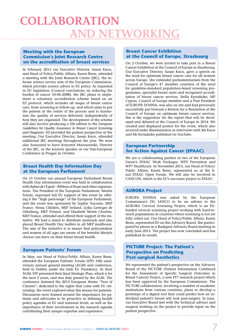## **Collaboration**  $\Gamma$ WORKING

#### **Meeting with the European Commission's Joint Research Centre on the accreditation of breast services**

In February 2013 our Executive Director, Susan Knox, and Head of Policy/Public Affairs, Karen Benn, attended a meeting with the Joint Research Centre (JRC), the inhouse science service arm of the European Commission, which provides science advice to EU policy. As requested in EU legislation (Council conclusions on reducing the burden of cancer 10-06-2008), the JRC plans to implement a voluntary accreditation scheme based on an EU protocol, which includes all stages of breast cancer care, from screening to follow-up, and which aims to put the patient at the centre of the process and to harmonise the quality of services delivered, independently of how they are organised. The development of the scheme will also involve producing a 5th edition to the *European Guidelines for Quality Assurance in Breast Cancer Screening and Diagnosis*. ED provided the patient perspective at the meeting. Our Executive Director, Susan Knox, attended additional JRC meetings throughout the year. We were also honoured to have Krzysztof Maruszewski, Director of the JRC, as the keynote speaker at our Pan-European Conference in Prague in October.

## **Breast Health Day Information Day at the European Parliament**

On 15 October our annual European Parliament Breast Health Day information event was held in collaboration with *Ruban de l'Espoir* – Ribbon of Hope and other organisations. The President of the European Parliament, Martin Schulz, expressed full EU support of this event by offering it the "high patronage" of the European Parliament, and the event was sponsored by Sophie Auconie, MEP France. Nessa Childers, MEP Ireland, Lydia Geringer de Odenberg, MEP Poland, and Elisabeth Morin Chartier, MEP France, attended and offered their support of the initiative. We had a stand to distribute materials and also placed Breast Health Day leaflets in all MEP mailboxes. The aim of the initiative is to ensure that policymakers and women of all ages are aware of the benefits lifestyle choices can have on their future breast health.

## **European Patients' Forum**

In May, our Head of Policy/Public Affairs, Karen Benn, attended the European Patients' Forum (EPF) 10th anniversary annual general meeting (AGM) and conference, held in Dublin under the Irish EU Presidency. At their AGM, EPF presented their final Strategic Plan, which is for the next 5 years, and was duly passed by the AGM. The conference featured the 2013 European theme "Year of Citizens"; dedicated to the rights that come with EU citizenship, the event explored what this means for patients. Discussions were framed around the importance for patients and advocates to be proactive in defining health policy agendas at EU and national levels, as well as the importance of their involvement in the research agenda contributing their unique expertise and experience.

## **Breast Cancer Exhibition at the Council of Europe, Strasbourg**

On 2 October, we were invited to take part in a Breast Cancer Exhibition at the Council of Europe in Strasbourg. Our Executive Director, Susan Knox, gave a speech on the need for optimum breast cancer care for all women across Europe. She reminded parliamentarians from the Council of Europe's 47 member countries of the need for guideline-standard population-based screening programmes, specialist breast units and recognised accreditation of breast cancer services. Stella Kyriakides, MP Cyprus, Council of Europe member and a Past President of EUROPA DONNA, was also on site and had previously successfully put forward a Motion for a Resolution at the Council of Europe on optimum breast cancer services. She is the rapporteur for the report that will be developed and debated at the Council of Europe in 2014. We created and displayed posters for the event, which also received wider dissemination in interviews with Ms Knox and Ms Kyriakides published on YouTube.

## **European Partnership for Action Against Cancer (EPAAC)**

We are a collaborating partner in two of the European Union's EPAAC Work Packages, WP5 Prevention and WP7 Healthcare. In November 2013, our Head of Policy/ Public Affairs, Karen Benn, represented us at the final EPAAC Open Forum. We will also be involved in CANCON, which is the EU's successor project to EPAAC.

## **AURORA Project**

EUROPA DONNA was asked by the European Commission's DG SANCO to be an adviser to the AURORA Cervical Screening Project, which is an EUfunded cervical screening project working with hard-toreach populations in countries where screening is not yet fully rolled out. Our Head of Policy/Public Affairs, Karen Benn, represented ED on this Advisory Board. She participated by phone in a Budapest Advisory Board meeting in early June 2013. The project has now concluded and has published its results.

## **PICTURE Project: The Patient's Perspective on Predicting Post-surgical Aesthetics**

We represented the patient's perspective on the Advisory Board of the PICTURE (Patient Information Combined for the Assessment of Specific Surgical Outcomes in Breast Cancer) Project, a new FP7 research project which has been approved by the European Commission. The PICTURE collaboration, involving a number of academic institutions from various countries, plans to develop a prototype of a digital tool that could predict how an individual patient's breast will look post-surgery. In June, our Executive Board met with the technical advisor and surgeon working on the project to provide input on the patient perspective.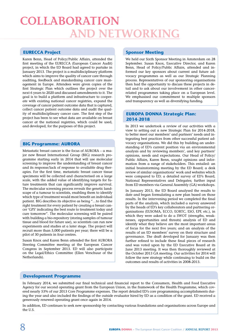## **Collaboration AND NETWORKII**

## **EURECCA Project**

Karen Benn, Head of Policy/Public Affairs, attended the first meeting of the EURECCA (European Cancer Audit) project, in which the ED Board had agreed to partake in January 2013. The project is a multidisciplinary platform which aims to improve the quality of cancer care through auditing, feedback and standardising cancer care management in Europe. Attendees were given copies of the first Strategic Plan which outlines the project over the next 6 years to 2020 and discussed amendments to it. The goal is to build a platform and infrastructure to cooperate with existing national cancer registries, expand the coverage of cancer patient outcome data that is captured, collect cancer patient outcome data and audit the quality of multidisciplinary cancer care. The first step of the project has been to see what data are available on breast cancer at the national registries, which could be used, and developed, for the purposes of this project.

#### **BIG Programme: AURORA**

Metastatic breast cancer is the focus of AURORA – a major new Breast International Group (BIG) research programme starting early in 2014 that will use molecular screening to improve the understanding of breast cancer and its response/lack of response to available drug therapies. For the first time, metastatic breast cancer tissue specimens will be collected and characterised on a large scale, with the added value of identifying targets for future treatments that can significantly improve survival. The molecular screening process reveals the genetic landscape of a tumour to scientists, enabling them to identify which type of treatment would most benefit an individual patient. BIG describes its objective as being "…to find the right treatment for every patient by creating a breast cancer 'GPS' indicating the best route to treatment today and cure tomorrow". The molecular screening will be paired with building a bio-repository (storing samples of tumour tissue and blood for future use), so scientists can run new experiments and studies at a later stage. The project will recruit more than 5,000 patients per year; there will be a pilot of 30 patients in four centres.

Susan Knox and Karen Benn attended the first AURORA Steering Committee meeting at the European Cancer Congress in September 2013. ED will also participate on the Legal/Ethics Committee (Ellen Verschuur of the Netherlands).

#### **Sponsor Meeting**

We held our Sixth Sponsor Meeting in Amsterdam on 28 September. Susan Knox, Executive Director, and Karen Benn, Head of Policy/Public Affairs, attended and informed our key sponsors about current and future advocacy programmes as well as our Strategic Planning process. Representatives of our sponsoring organisations then had the opportunity to discuss these projects in detail and to ask about our involvement in other cancerrelated programmes taking place on a European level. We emphasised our commitment to multiple sponsors and transparency as well as diversifying funding.

#### **EUROPA DONNA Strategic Plan: 2014-2018**

In 2013 we undertook a review of our activities with a view to setting out a new Strategic Plan for 2014-2018, to better meet our members' and partners' needs and integrating best practices from other successful patient advocacy organisations. We did this by building an understanding of ED's current position via an environmental analysis and by reviewing members', and key partners' opinions, needs and expectations. Our Head of Policy/ Public Affairs, Karen Benn, sought opinions and information from a range of stakeholders. This entailed: an initial brainstorming meeting by the ED Board; a desk review of similar organisations' work and websites which were compared to ED; a detailed survey of ED's Board, National Representatives and Delegates; further input from ED members via General Assembly (GA) workshops.

In January 2013, the ED Board analysed the results to date and began formulating a new plan based on those results. In the intervening period we completed the final parts of the analysis, which included a survey answered by the heads of ED's key collaborators and partnering organisations (EUSOMA, ECCO, EORTC, ESO, EPF, etc.), in which they were asked to do a SWOT (strengths, weaknesses, opportunities and threats) analysis of ED and identify what they believe are the most important areas of focus for the next five years; and an analysis of the results of an ED members' survey on their structure and governance. The draft developed for January was then further refined to include these final pieces of research and was voted upon by the ED Executive Board at its June 2013 meeting. It was then thoroughly reviewed at the October 2013 GA meeting. Our activities for 2014 will follow the new strategy while continuing to build on the outcomes and results of activities in 2008-2013.

#### **Development Programme**

In February 2014, we submitted our final technical and financial report to the Consumers, Health and Food Executive Agency for our second operating grant from the European Union, in the framework of the Health Programme, which covered nearly 53% of our 2013 Core Programme expenses. The report detailed ED's core programming accomplishments during the year and also included the findings of the outside evaluator hired by ED as a condition of the grant. ED received a generously renewed operating grant once again in 2014.

In addition, ED continues to seek new sponsorship by contacting various foundations and organisations across Europe and the U.S.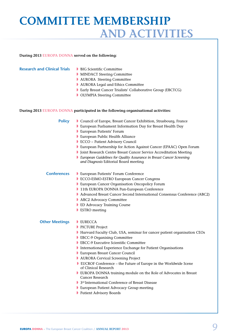## **Committee Membership and Activities**

#### **During 2013 EUROPA DONNA served on the following:**

#### **Research and Clinical Trials ▶ BIG Scientific Committee**

- 
- **MINDACT Steering Committee**
- $\bullet$  **AURORA Steering Committee**
- ◗ AURORA Legal and Ethics Committee
- ◗ Early Breast Cancer Trialists' Collaborative Group (EBCTCG)
- OLYMPIA Steering Committee

#### **During 2013 EUROPA DONNA participated in the following organisational activities:**

**Policy** Council of Europe, Breast Cancer Exhibition, Strasbourg, France

- $\triangleright$  European Parliament Information Day for Breast Health Day
- **D** European Patients' Forum
- European Public Health Alliance
- ◗ ECCO − Patient Advisory Council
- ◗ European Partnership for Action Against Cancer (EPAAC) Open Forum
- ◗ Joint Research Centre Breast Cancer Service Accreditation Meeting
- ◗ *European Guidelines for Quality Assurance in Breast Cancer Screening and Diagnosis* Editorial Board meeting

#### **Conferences** ◗ European Patients' Forum Conference

- ◗ ECCO-ESMO-ESTRO European Cancer Congress
- European Cancer Organisation Oncopolicy Forum
- ◗ 11th EUROPA DONNA Pan-European Conference
- ◗ Advanced Breast Cancer Second International Consensus Conference (ABC2)
- ABC2 Advocacy Committee
- ED Advocacy Training Course
- **▶ ESTRO meeting**

#### **Other Meetings DEURECCA**

- **PICTURE Project**
- ◗ Harvard Faculty Club, USA, seminar for cancer patient organisation CEOs
- EBCC-9 Organising Committee
- EBCC-9 Executive Scientific Committee
- ◗ International Experience Exchange for Patient Organisations
- European Breast Cancer Council
- AURORA Cervical Screening Project
- **EUCROF Conference** the Future of Europe in the Worldwide Scene of Clinical Research
- ◗ EUROPA DONNA training module on the Role of Advocates in Breast Cancer Research
- **▶ 3<sup>rd</sup> International Conference of Breast Disease**
- ◗ European Patient Advocacy Group meeting
- **Patient Advisory Boards**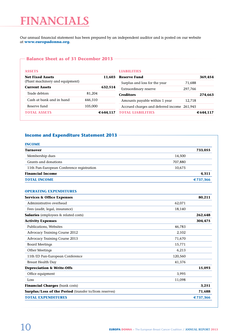# **Financials**

Our annual financial statement has been prepared by an independent auditor and is posted on our website at **www.europadonna.org**.

### **Balance Sheet as of 31 December 2013**

| <b>ASSETS</b>                     |           | LIARILITIES                                 |         |           |
|-----------------------------------|-----------|---------------------------------------------|---------|-----------|
| <b>Net Fixed Assets</b><br>11.603 |           | <b>Reserve Fund</b>                         |         | 369.454   |
| (Plant machinery and equipment)   |           | Surplus and loss for the year               | 71,688  |           |
| <b>Current Assets</b>             | 632,514   | Extraordinary reserve                       | 297.766 |           |
| Trade debtors                     | 81.204    | <b>Creditors</b>                            |         | 274,663   |
| Cash at bank and in hand          | 446,310   | Amounts payable within 1 year               | 12,718  |           |
| Reserve fund                      | 105,000   | Accrued charges and deferred income 261,945 |         |           |
| <b>TOTAL ASSETS</b>               | € 644,117 | <b>TOTAL LIABILITIES</b>                    |         | € 644.117 |

## **Income and Expenditure Statement 2013**

| <b>INCOME</b>                                                 |         |          |
|---------------------------------------------------------------|---------|----------|
| <b>Turnover</b>                                               |         | 733,055  |
| Membership dues                                               | 14,500  |          |
| Grants and donations                                          | 707,880 |          |
| 11th Pan-European Conference registration                     | 10,675  |          |
| <b>Financial Income</b>                                       |         | 4.311    |
| <b>TOTAL INCOME</b>                                           |         | €737,366 |
| <b>OPERATING EXPENDITURES</b>                                 |         |          |
| <b>Services &amp; Office Expenses</b>                         |         | 80,211   |
| Administrative overhead                                       | 62,071  |          |
| Fees (audit, legal, insurance)                                | 18,140  |          |
| <b>Salaries</b> (employees & related costs)                   |         | 262,648  |
| <b>Activity Expenses</b>                                      |         | 304,475  |
| Publications, Websites                                        | 46,783  |          |
| Advocacy Training Course 2012                                 | 2,102   |          |
| <b>Advocacy Training Course 2013</b>                          | 71,670  |          |
| <b>Board Meetings</b>                                         | 15,771  |          |
| Other Meetings                                                | 6,213   |          |
| 11th ED Pan-European Conference                               | 120,560 |          |
| <b>Breast Health Day</b>                                      | 41,376  |          |
| <b>Depreciation &amp; Write-Offs</b>                          |         | 15,093   |
| Office equipment                                              | 3,995   |          |
| Loss                                                          | 11,098  |          |
| Financial Charges (bank costs)                                |         | 3,251    |
| <b>Surplus/Loss of the Period</b> (transfer to/from reserves) |         | 71,688   |
| <b>TOTAL EXPENDITURES</b>                                     |         | €737,366 |
|                                                               |         |          |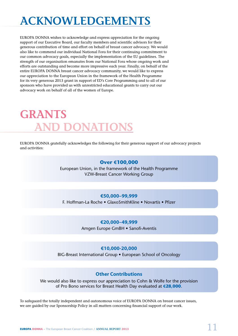# **Acknowledgements**

EUROPA DONNA wishes to acknowledge and express appreciation for the ongoing support of our Executive Board, our faculty members and scientific advisors for their generous contribution of time and effort on behalf of breast cancer advocacy. We would also like to commend our individual National Fora for their continuing commitment to our common advocacy goals, especially the implementation of the EU guidelines. The strength of our organisation emanates from our National Fora whose ongoing work and efforts are outstanding and become more impressive each year. Finally, on behalf of the entire EUROPA DONNA breast cancer advocacy community, we would like to express our appreciation to the European Union in the framework of the Health Programme for its very generous 2013 grant in support of ED's Core Programming and to all of our sponsors who have provided us with unrestricted educational grants to carry out our advocacy work on behalf of all of the women of Europe.

# **GRANTS AND DONATIONS**

EUROPA DONNA gratefully acknowledges the following for their generous support of our advocacy projects and activities:

## **Over €100,000**

European Union, in the framework of the Health Programme VZW-Breast Cancer Working Group

## **€50,000–99,999**

F. Hoffman-La Roche • GlaxoSmithKline • Novartis • Pfizer

## **€20,000–49,999**

Amgen Europe GmBH • Sanofi-Aventis

## **€10,000-20,000**

BIG-Breast International Group • European School of Oncology

## **Other Contributions**

We would also like to express our appreciation to Cohn & Wolfe for the provision of Pro Bono services for Breast Health Day evaluated at **€28,000**.

To safeguard the totally independent and autonomous voice of EUROPA DONNA on breast cancer issues, we are guided by our Sponsorship Policy in all matters concerning financial support of our work.